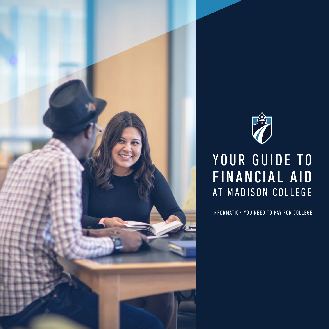



## YOUR GUIDE TO FINANCIAL AID AT MADISON COLLEGE

INFORMATION YOU NEED TO PAY FOR COLLEGE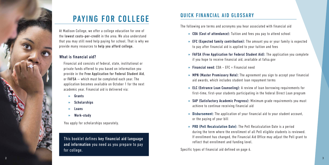

# PAYING FOR COLLEGE

At Madison College, we offer a college education for one of the lowest costs-per-credit in the area. We also understand that you may still need help paying for school. That is why we provide many resources to help you afford college.

### What is financial aid?

Financial aid consists of federal, state, institutional or private funds offered to you based on information you provide in the Free Application for Federal Student Aid, or FAFSA — which must be completed each year. The application becomes available on October 1 for the next academic year. Financial aid is delivered via:

- **»** Grants
- **»** Scholarships
- **»** Loans
- **»** Work-study

You apply for scholarships separately.

This booklet defines key financial aid language and information you need as you prepare to pay for college.

## QUICK FINANCIAL AID GLOSSARY

The following are terms and acronyms you hear associated with financial aid

- **»** COA (Cost of attendance): Tuition and fees you pay to attend school
- **»** EFC (Expected family contribution): The amount you or your family is expected to pay after financial aid is applied to your tuition and fees
- **»** FAFSA (Free Application for Federal Student Aid): The application you complete if you hope to receive financial aid, available at [fafsa.gov](https://fafsa.gov)
- **»** Financial need: COA EFC = Financial need
- **»** MPN (Master Promissory Note): The agreement you sign to accept your financial aid awards, which includes student loan repayment terms
- **»** ELC (Entrance Loan Counseling): A review of loan borrowing requirements for first-time, first-year students participating in the federal Direct Loan program
- **»** SAP (Satisfactory Academic Progress): Minimum grade requirements you must achieve to continue receiving financial aid
- **»** Disbursement: The application of your financial aid to your student account, or the paying of your bill
- **»** PRD (Pell Recalculation Date): The Pell Recalculation Date is a period during the term where the enrollment of all Pell eligible students is reviewed. If enrollment has changed, the Financial Aid Office may adjust the Pell grant to reflect that enrollment and funding level.

Specific types of financial aid defined on page 6.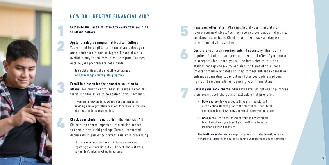## HOW DO I RECEIVE FINANCIAL AID?

Complete the FAFSA at [fafsa.gov](https://fafsa.gov) every year you plan to attend college.

### Apply to a degree program at Madison College.

 $\begin{array}{c} \n 1 \\ \n 2 \n \end{array}$ 

3<br>4

You will not be eligible for financial aid unless you are pursuing a diploma or degree. Financial aid is available only for courses in your program. Courses outside your program are not aidable.

 See a list of financial aid eligible programs at [madisoncollege.edu/eligible-programs](https://madisoncollege.edu/eligible-programs).

Enroll in classes for the semester you plan to attend. You must be enrolled in at least six credits for your financial aid to be applied to your account.

 If you are a new student, we urge you to attend an Advising and Registration session. If necessary, you can also register for classes online.

Check your student email often. The Financial Aid Office often shares important information needed to complete your aid package. Turn all requested documents in quickly to prevent a delay in processing.

 This is where important news, updates and requests regarding your financial aid will be sent. Check it often so you don't miss anything important!

Read your offer letter. When notified of your financial aid, review your next steps. You may receive a combination of grants, scholarships, or loans. Check to see if you have a balance due after financial aid is applied.

Complete your loan requirements, if necessary. This is only required if student loans are part of your aid offer. If you choose to accept student loans, you will be instructed to return to [studentloans.gov](https://studentloans.gov) to review and sign the terms of your loans (master promissory note) and to go through entrance counseling. Entrance counseling (done online) helps you understand your rights and responsibilities regarding your financial aid.

Review your book charge. Students have two options to purchase their books: book charge and textbook rental programs.

**»** Book charge: Buy your books through a financial aid credit option 10 days prior to the start of the term. Total cost depends on how many and which books you purchase.

5<br>6<br>7

**»** Book rental: Pay a fee based on your semester credit load. This allows you to rent your textbooks from the Madison College Bookstore.

The textbook rental program—put in place by students—will save you hundreds of dollars, compared to buying your textbooks each semester.

4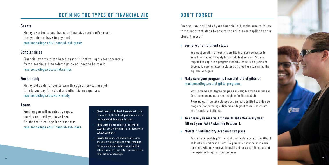

## DEFINING THE TYPES OF FINANCIAL AID

### Grants

Money awarded to you, based on financial need and/or merit, that you do not have to pay back. [madisoncollege.edu/financial-aid-grants](https://madisoncollege.edu/financial-aid-grants)

### **Scholarships**

Financial awards, often based on merit, that you apply for separately from financial aid. Scholarships do not have to be repaid. [madisoncollege.edu/scholarships](https://madisoncollege.edu/scholarships)

### Work-study

Money set aside for you to earn through an on-campus job, to help you pay for school and other living expenses. [madisoncollege.edu/work-study](https://madisoncollege.edu/work-study)

### Loans

 Funding you will eventually repay, usually not until you have been finished with college for six months. madisoncollege.edu/financial-aid-loans

- » Direct loans are Federal, low-interest loans. If subsidized, the Federal government covers the interest while you are in school.
- » PLUS loans are for parents of dependent students who are helping their children with college expenses.
- » Private loans are not government-issued. These are typically unsubsidized, requiring payment on interest while you are still in school. Consider these only if you receive no other aid or scholarships.

## DON'T FORGET

Once you are notified of your financial aid, make sure to follow these important steps to ensure the dollars are applied to your student account.

### **»** Verify your enrollment status

You must enroll in at least six credits in a given semester for your financial aid to apply to your student account. You are required to apply to a program that will result in a diploma or degree. You are enrolled in classes that lead you to earning the diploma or degree.

### **»** Make sure your program is financial-aid eligible at [madisoncollege.edu/eligible-programs](https://madisoncollege.edu/eligible-programs).

Most diploma and degree programs are eligible for financial aid. Certificate programs are not eligible for financial aid.

Remember: If you take classes but are not admitted to a degree program (not pursuing a diploma or degree) those classes are not financial aid eligible.

### **»** To ensure you receive a financial aid offer every year, fill out your FAFSA starting October 1.

### **»** Maintain Satisfactory Academic Progress

To continue receiving financial aid, maintain a cumulative GPA of at least 2.0, and pass at least 67 percent of your courses each term. You will only receive financial aid for up to 150 percent of the expected length of your program.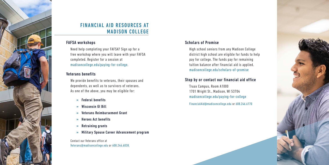## FINANCIAL AID RESOURCES AT MADISON COLLEGE

### FAFSA workshops

Need help completing your FAFSA? Sign up for a free workshop where you will leave with your FAFSA completed. Register for a session at [madisoncollege.edu/paying-for-college](https://madisoncollege.edu/paying-for-college).

### Veterans benefits

We provide benefits to veterans, their spouses and dependents, as well as to survivors of veterans. As one of the above, you may be eligible for:

- **»** Federal benefits
- **»** Wisconsin GI Bill
- **»** Veterans Reimbursement Grant
- **»** Heroes Act benefits
- **»** Retraining grants
- **»** Military Spouse Career Advancement program

Contact our Veterans office at [Veterans@madisoncollege.edu](mailto:Veterans@madisoncollege.edu) or 608.246.6038.

### Scholars of Promise

High school seniors from any Madison College district high school are eligible for funds to help pay for college. The funds pay for remaining tuition balance after financial aid is applied. [madisoncollege.edu/scholars-of-promise](https://madisoncollege.edu/scholars-of-promise)

### Stop by or contact our financial aid office

Truax Campus, Room A1000 1701 Wright St., Madison, WI 53704 [madisoncollege.edu/paying-for-college](https://madisoncollege.edu/paying-for-college)

[FinancialAid@madisoncollege.edu](mailto:FinancialAid@madisoncollege.edu) or 608.246.6170



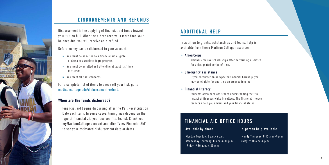### In-person help available

Mondy Thursday: 8:15 a.m.-4 p.m. Friday: 9:30 a.m.-4 p.m.

## DISBURSEMENTS AND REFUNDS

Disbursement is the applying of financial aid funds toward your tuition bill. When the aid we receive is more than your balance due, you will receive an e-refund.

Before money can be disbursed to your account:

- **»** You must be admitted to a financial aid eligible diploma or associate degree program.
- **»** You must be enrolled and attending at least half time (six cardits).
- **»** You meet all SAP standards.

For a complete list of items to check off your list, go to [madisoncollege.edu/disbursement-refund](https://madisoncollege.edu/disbursement-refund).

### When are the funds disbursed?

Monday Tuesday: 8 a.m.-6 p.m. - Wednesday Thursday: 8 a.m.-4:30 p.m. Friday: 9:30 a.m.-4:30 p.m.

Financial aid begins disbursing after the Pell Recalculation Date each term. In some cases, timing may depend on the type of financial aid you received (i.e. loans). Check your myMadisonCollege account and click "View Financial Aid" to see your estimated disbursement date or dates.

## ADDITIONAL HELP

In addition to grants, scholarships and loans, help is available from these Madison College resources:

### **»** AmeriCorps

Members receive scholarships after performing a service for a designated period of time.

### **»** Emergency assistance

If you encounter an unexpected financial hardship, you may be eligible for one-time emergency funding.

### **»** Financial literacy

Students often need assistance understanding the true impact of finances while in college. The financial literacy team can help you understand your financial status.

## FINANCIAL AID OFFICE HOURS

Available by phone